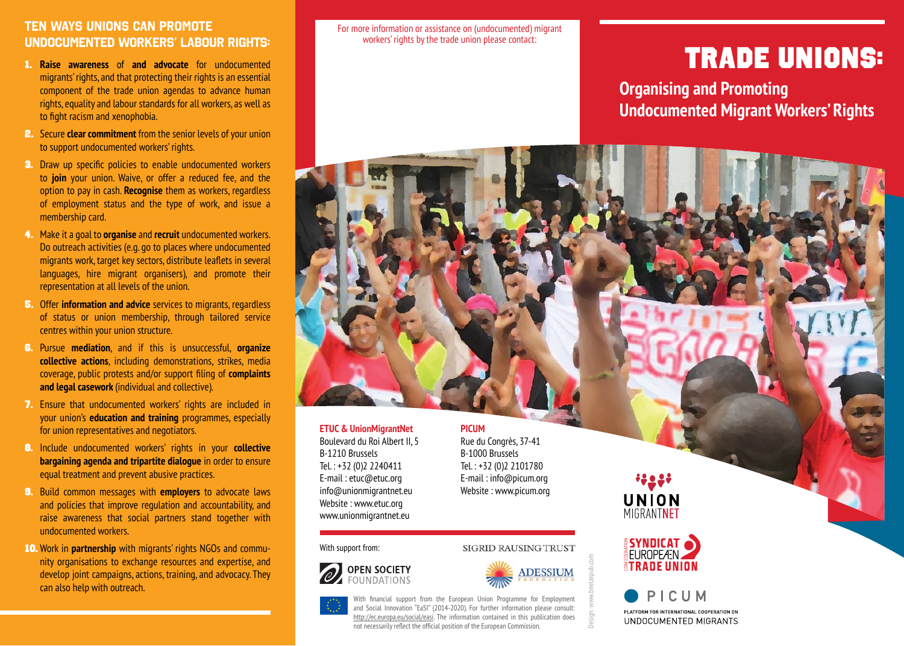### **Ten ways unions can promote undocumented workers' labour rights:**

- 1. **Raise awareness** of **and advocate** for undocumented migrants' rights, and that protecting their rights is an essential component of the trade union agendas to advance human rights, equality and labour standards for all workers, as well as to fight racism and xenophobia.
- 2. Secure **clear commitment** from the senior levels of your union to support undocumented workers' rights.
- 3. Draw up specific policies to enable undocumented workers to **join** your union. Waive, or offer a reduced fee, and the option to pay in cash. **Recognise** them as workers, regardless of employment status and the type of work, and issue a membership card.
- 4. Make it a goal to **organise** and **recruit** undocumented workers. Do outreach activities (e.g. go to places where undocumented migrants work, target key sectors, distribute leaflets in several languages, hire migrant organisers), and promote their representation at all levels of the union.
- 5. Offer **information and advice** services to migrants, regardless of status or union membership, through tailored service centres within your union structure.
- 6. Pursue **mediation**, and if this is unsuccessful, **organize collective actions**, including demonstrations, strikes, media coverage, public protests and/or support filing of **complaints and legal casework** (individual and collective).
- 7. Ensure that undocumented workers' rights are included in your union's **education and training** programmes, especially for union representatives and negotiators.
- 8. Include undocumented workers' rights in your **collective bargaining agenda and tripartite dialogue** in order to ensure equal treatment and prevent abusive practices.
- 9. Build common messages with **employers** to advocate laws and policies that improve regulation and accountability, and raise awareness that social partners stand together with undocumented workers.
- 10. Work in **partnership** with migrants' rights NGOs and community organisations to exchange resources and expertise, and develop joint campaigns, actions, training, and advocacy. They can also help with outreach.

For more information or assistance on (undocumented) migrant workers' rights by the trade union please contact:

# TRADE UNIONS:

**Organising and Promoting Undocumented Migrant Workers' Rights**

#### **ETUC & UnionMigrantNet** Boulevard du Roi Albert II, 5 B-1210 Brussels Tel. : +32 (0)2 2240411 E-mail : etuc@etuc.org info@unionmigrantnet.eu Website : [www.etuc.org](http://www.etuc.org) [www.unionmigrantnet.eu](http://www.unionmigrantnet.eu)

With support from:





**SIGRID RAUSING TRUST** 

Design: www.beelzepub.com

With financial support from the European Union Programme for Employment and Social Innovation "EaSI" (2014-2020). For further information please consult: http://ec.europa.eu/social/easi. The information contained in this publication does not necessarily reflect the official position of the European Commission.

**PICUM**

Rue du Congrès, 37-41 B-1000 Brussels Tel. : +32 (0)2 2101780 E-mail : info@picum.org Website : [www.picum.org](http://www.picum.org)

\*\*으 우\* **UNION**<br>MIGRANTNET



PICUM PLATFORM FOR INTERNATIONAL COOPERATION ON UNDOCUMENTED MIGRANTS